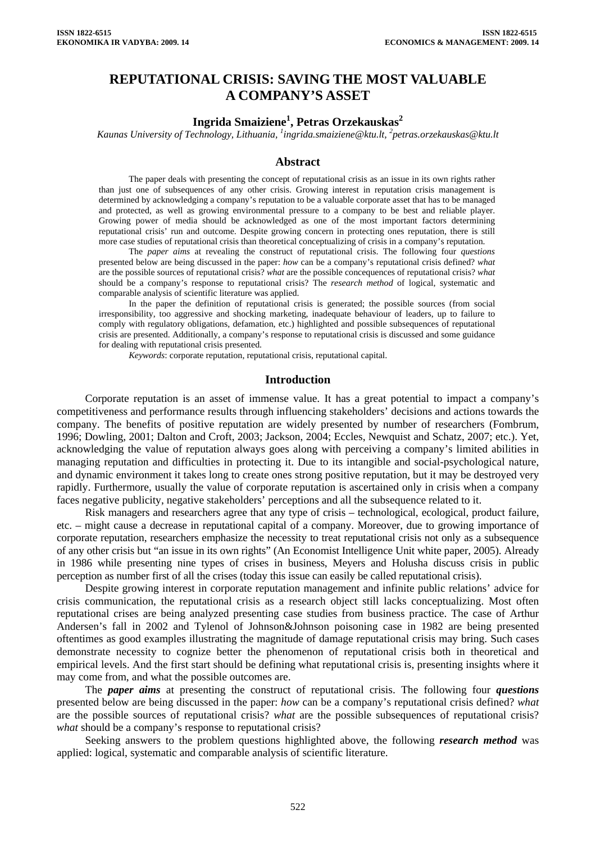# **REPUTATIONAL CRISIS: SAVING THE MOST VALUABLE A COMPANY'S ASSET**

# $\mathbf{Ingrida}$   $\mathbf{Smaiziene}^{1},$   $\mathbf{Petras}$   $\mathbf{Orzekauskas}^{2}$

*Kaunas University of Technology, Lithuania, <sup>1</sup> [ingrida.smaiziene@ktu.lt](mailto:ingrida.smaiziene@ktu.lt), 2 petras.orzekauskas@ktu.lt* 

#### **Abstract**

The paper deals with presenting the concept of reputational crisis as an issue in its own rights rather than just one of subsequences of any other crisis. Growing interest in reputation crisis management is determined by acknowledging a company's reputation to be a valuable corporate asset that has to be managed and protected, as well as growing environmental pressure to a company to be best and reliable player. Growing power of media should be acknowledged as one of the most important factors determining reputational crisis' run and outcome. Despite growing concern in protecting ones reputation, there is still more case studies of reputational crisis than theoretical conceptualizing of crisis in a company's reputation.

The *paper aims* at revealing the construct of reputational crisis. The following four *questions* presented below are being discussed in the paper: *how* can be a company's reputational crisis defined? *what* are the possible sources of reputational crisis? *what* are the possible concequences of reputational crisis? *what*  should be a company's response to reputational crisis? The *research method* of logical, systematic and comparable analysis of scientific literature was applied.

In the paper the definition of reputational crisis is generated; the possible sources (from social irresponsibility, too aggressive and shocking marketing, inadequate behaviour of leaders, up to failure to comply with regulatory obligations, defamation, etc.) highlighted and possible subsequences of reputational crisis are presented. Additionally, a company's response to reputational crisis is discussed and some guidance for dealing with reputational crisis presented.

*Keywords*: corporate reputation, reputational crisis, reputational capital.

#### **Introduction**

Corporate reputation is an asset of immense value. It has a great potential to impact a company's competitiveness and performance results through influencing stakeholders' decisions and actions towards the company. The benefits of positive reputation are widely presented by number of researchers (Fombrum, 1996; Dowling, 2001; Dalton and Croft, 2003; Jackson, 2004; Eccles, Newquist and Schatz, 2007; etc.). Yet, acknowledging the value of reputation always goes along with perceiving a company's limited abilities in managing reputation and difficulties in protecting it. Due to its intangible and social-psychological nature, and dynamic environment it takes long to create ones strong positive reputation, but it may be destroyed very rapidly. Furthermore, usually the value of corporate reputation is ascertained only in crisis when a company faces negative publicity, negative stakeholders' perceptions and all the subsequence related to it.

Risk managers and researchers agree that any type of crisis – technological, ecological, product failure, etc. – might cause a decrease in reputational capital of a company. Moreover, due to growing importance of corporate reputation, researchers emphasize the necessity to treat reputational crisis not only as a subsequence of any other crisis but "an issue in its own rights" (An Economist Intelligence Unit white paper, 2005). Already in 1986 while presenting nine types of crises in business, Meyers and Holusha discuss crisis in public perception as number first of all the crises (today this issue can easily be called reputational crisis).

Despite growing interest in corporate reputation management and infinite public relations' advice for crisis communication, the reputational crisis as a research object still lacks conceptualizing. Most often reputational crises are being analyzed presenting case studies from business practice. The case of Arthur Andersen's fall in 2002 and Tylenol of Johnson&Johnson poisoning case in 1982 are being presented oftentimes as good examples illustrating the magnitude of damage reputational crisis may bring. Such cases demonstrate necessity to cognize better the phenomenon of reputational crisis both in theoretical and empirical levels. And the first start should be defining what reputational crisis is, presenting insights where it may come from, and what the possible outcomes are.

The *paper aims* at presenting the construct of reputational crisis. The following four *questions* presented below are being discussed in the paper: *how* can be a company's reputational crisis defined? *what* are the possible sources of reputational crisis? *what* are the possible subsequences of reputational crisis? *what* should be a company's response to reputational crisis?

Seeking answers to the problem questions highlighted above, the following *research method* was applied: logical, systematic and comparable analysis of scientific literature.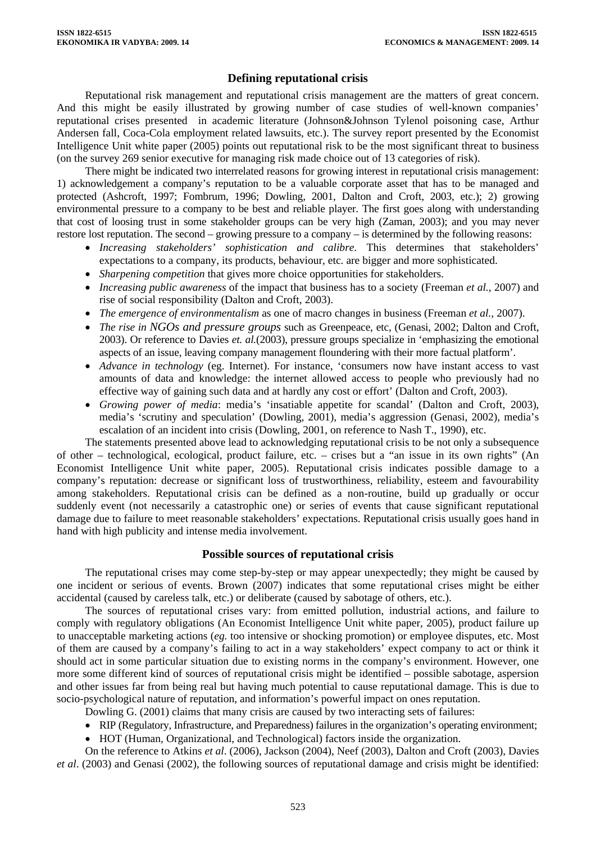# **Defining reputational crisis**

Reputational risk management and reputational crisis management are the matters of great concern. And this might be easily illustrated by growing number of case studies of well-known companies' reputational crises presented in academic literature (Johnson&Johnson Tylenol poisoning case, Arthur Andersen fall, Coca-Cola employment related lawsuits, etc.). The survey report presented by the Economist Intelligence Unit white paper (2005) points out reputational risk to be the most significant threat to business (on the survey 269 senior executive for managing risk made choice out of 13 categories of risk).

There might be indicated two interrelated reasons for growing interest in reputational crisis management: 1) acknowledgement a company's reputation to be a valuable corporate asset that has to be managed and protected (Ashcroft, 1997; Fombrum, 1996; Dowling, 2001, Dalton and Croft, 2003, etc.); 2) growing environmental pressure to a company to be best and reliable player. The first goes along with understanding that cost of loosing trust in some stakeholder groups can be very high (Zaman, 2003); and you may never restore lost reputation. The second – growing pressure to a company – is determined by the following reasons:

- *Increasing stakeholders' sophistication and calibre*. This determines that stakeholders' expectations to a company, its products, behaviour, etc. are bigger and more sophisticated.
- *Sharpening competition* that gives more choice opportunities for stakeholders.
- *Increasing public awareness* of the impact that business has to a society (Freeman *et al.,* 2007) and rise of social responsibility (Dalton and Croft, 2003).
- *The emergence of environmentalism* as one of macro changes in business (Freeman *et al.,* 2007).
- *The rise in NGOs and pressure groups* such as Greenpeace, etc, (Genasi, 2002; Dalton and Croft, 2003). Or reference to Davies *et. al.*(2003), pressure groups specialize in 'emphasizing the emotional aspects of an issue, leaving company management floundering with their more factual platform'.
- *Advance in technology* (eg. Internet). For instance, 'consumers now have instant access to vast amounts of data and knowledge: the internet allowed access to people who previously had no effective way of gaining such data and at hardly any cost or effort' (Dalton and Croft, 2003).
- *Growing power of media*: media's 'insatiable appetite for scandal' (Dalton and Croft, 2003), media's 'scrutiny and speculation' (Dowling, 2001), media's aggression (Genasi, 2002), media's escalation of an incident into crisis (Dowling, 2001, on reference to Nash T., 1990), etc.

The statements presented above lead to acknowledging reputational crisis to be not only a subsequence of other – technological, ecological, product failure, etc. – crises but a "an issue in its own rights" (An Economist Intelligence Unit white paper, 2005). Reputational crisis indicates possible damage to a company's reputation: decrease or significant loss of trustworthiness, reliability, esteem and favourability among stakeholders. Reputational crisis can be defined as a non-routine, build up gradually or occur suddenly event (not necessarily a catastrophic one) or series of events that cause significant reputational damage due to failure to meet reasonable stakeholders' expectations. Reputational crisis usually goes hand in hand with high publicity and intense media involvement.

# **Possible sources of reputational crisis**

The reputational crises may come step-by-step or may appear unexpectedly; they might be caused by one incident or serious of events. Brown (2007) indicates that some reputational crises might be either accidental (caused by careless talk, etc.) or deliberate (caused by sabotage of others, etc.).

The sources of reputational crises vary: from emitted pollution, industrial actions, and failure to comply with regulatory obligations (An Economist Intelligence Unit white paper, 2005), product failure up to unacceptable marketing actions (*eg.* too intensive or shocking promotion) or employee disputes, etc. Most of them are caused by a company's failing to act in a way stakeholders' expect company to act or think it should act in some particular situation due to existing norms in the company's environment. However, one more some different kind of sources of reputational crisis might be identified – possible sabotage, aspersion and other issues far from being real but having much potential to cause reputational damage. This is due to socio-psychological nature of reputation, and information's powerful impact on ones reputation.

Dowling G. (2001) claims that many crisis are caused by two interacting sets of failures:

- RIP (Regulatory, Infrastructure, and Preparedness) failures in the organization's operating environment;
- HOT (Human, Organizational, and Technological) factors inside the organization.

On the reference to Atkins *et al*. (2006), Jackson (2004), Neef (2003), Dalton and Croft (2003), Davies *et al*. (2003) and Genasi (2002), the following sources of reputational damage and crisis might be identified: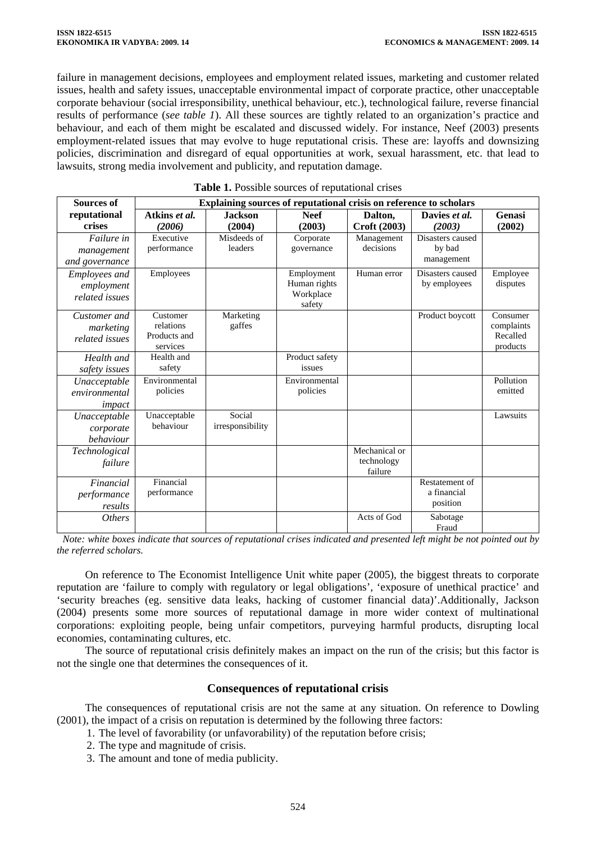failure in management decisions, employees and employment related issues, marketing and customer related issues, health and safety issues, unacceptable environmental impact of corporate practice, other unacceptable corporate behaviour (social irresponsibility, unethical behaviour, etc.), technological failure, reverse financial results of performance (*see table 1*). All these sources are tightly related to an organization's practice and behaviour, and each of them might be escalated and discussed widely. For instance, Neef (2003) presents employment-related issues that may evolve to huge reputational crisis. These are: layoffs and downsizing policies, discrimination and disregard of equal opportunities at work, sexual harassment, etc. that lead to lawsuits, strong media involvement and publicity, and reputation damage.

| <b>Sources of</b>    | Explaining sources of reputational crisis on reference to scholars |                  |                |               |                         |            |  |
|----------------------|--------------------------------------------------------------------|------------------|----------------|---------------|-------------------------|------------|--|
| reputational         | Atkins et al.                                                      | <b>Jackson</b>   | <b>Neef</b>    | Dalton,       | Davies et al.           | Genasi     |  |
| crises               | (2006)                                                             | (2004)           | (2003)         | Croft (2003)  | (2003)                  | (2002)     |  |
| Failure in           | Executive                                                          | Misdeeds of      | Corporate      | Management    | Disasters caused        |            |  |
| management           | performance                                                        | leaders          | governance     | decisions     | by bad                  |            |  |
| and governance       |                                                                    |                  |                |               | management              |            |  |
| <b>Employees</b> and | Employees                                                          |                  | Employment     | Human error   | Disasters caused        | Employee   |  |
| employment           |                                                                    |                  | Human rights   |               | by employees            | disputes   |  |
| related issues       |                                                                    |                  | Workplace      |               |                         |            |  |
|                      | Customer                                                           | Marketing        | safety         |               | Product boycott         | Consumer   |  |
| Customer and         | relations                                                          | gaffes           |                |               |                         | complaints |  |
| marketing            | Products and                                                       |                  |                |               |                         | Recalled   |  |
| related issues       | services                                                           |                  |                |               |                         | products   |  |
| Health and           | Health and                                                         |                  | Product safety |               |                         |            |  |
| safety issues        | safety                                                             |                  | issues         |               |                         |            |  |
| Unacceptable         | Environmental                                                      |                  | Environmental  |               |                         | Pollution  |  |
| environmental        | policies                                                           |                  | policies       |               |                         | emitted    |  |
| impact               |                                                                    |                  |                |               |                         |            |  |
| Unacceptable         | Unacceptable                                                       | Social           |                |               |                         | Lawsuits   |  |
| corporate            | behaviour                                                          | irresponsibility |                |               |                         |            |  |
| behaviour            |                                                                    |                  |                |               |                         |            |  |
| Technological        |                                                                    |                  |                | Mechanical or |                         |            |  |
| failure              |                                                                    |                  |                | technology    |                         |            |  |
|                      |                                                                    |                  |                | failure       |                         |            |  |
| Financial            | Financial                                                          |                  |                |               | Restatement of          |            |  |
| performance          | performance                                                        |                  |                |               | a financial<br>position |            |  |
| results              |                                                                    |                  |                |               |                         |            |  |
| <i>Others</i>        |                                                                    |                  |                | Acts of God   | Sabotage<br>Fraud       |            |  |
|                      |                                                                    |                  |                |               |                         |            |  |

#### **Table 1.** Possible sources of reputational crises

*Note: white boxes indicate that sources of reputational crises indicated and presented left might be not pointed out by the referred scholars.* 

On reference to The Economist Intelligence Unit white paper (2005), the biggest threats to corporate reputation are 'failure to comply with regulatory or legal obligations', 'exposure of unethical practice' and 'security breaches (eg. sensitive data leaks, hacking of customer financial data)'.Additionally, Jackson (2004) presents some more sources of reputational damage in more wider context of multinational corporations: exploiting people, being unfair competitors, purveying harmful products, disrupting local economies, contaminating cultures, etc.

The source of reputational crisis definitely makes an impact on the run of the crisis; but this factor is not the single one that determines the consequences of it.

### **Consequences of reputational crisis**

The consequences of reputational crisis are not the same at any situation. On reference to Dowling (2001), the impact of a crisis on reputation is determined by the following three factors:

1. The level of favorability (or unfavorability) of the reputation before crisis;

- 2. The type and magnitude of crisis.
- 3. The amount and tone of media publicity.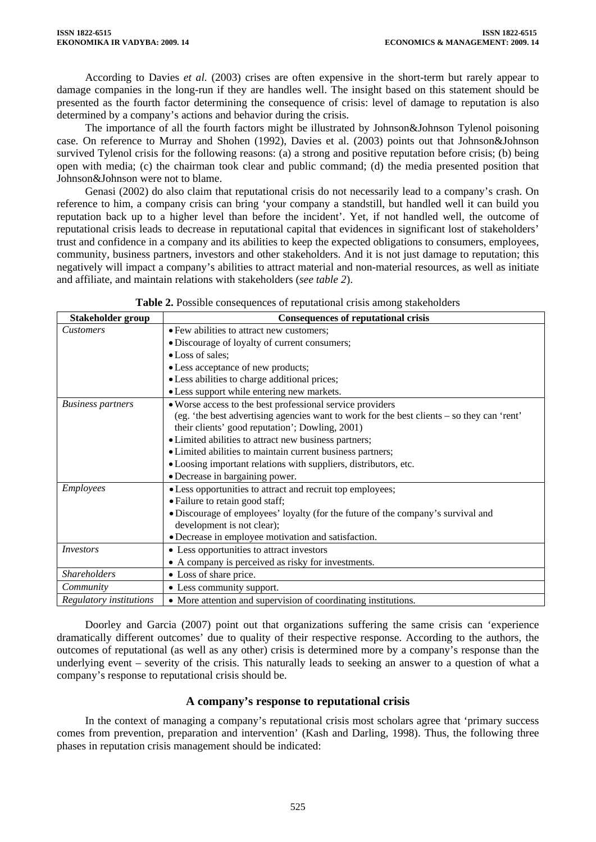According to Davies *et al.* (2003) crises are often expensive in the short-term but rarely appear to damage companies in the long-run if they are handles well. The insight based on this statement should be presented as the fourth factor determining the consequence of crisis: level of damage to reputation is also determined by a company's actions and behavior during the crisis.

The importance of all the fourth factors might be illustrated by Johnson&Johnson Tylenol poisoning case. On reference to Murray and Shohen (1992), Davies et al. (2003) points out that Johnson&Johnson survived Tylenol crisis for the following reasons: (a) a strong and positive reputation before crisis; (b) being open with media; (c) the chairman took clear and public command; (d) the media presented position that Johnson&Johnson were not to blame.

Genasi (2002) do also claim that reputational crisis do not necessarily lead to a company's crash. On reference to him, a company crisis can bring 'your company a standstill, but handled well it can build you reputation back up to a higher level than before the incident'. Yet, if not handled well, the outcome of reputational crisis leads to decrease in reputational capital that evidences in significant lost of stakeholders' trust and confidence in a company and its abilities to keep the expected obligations to consumers, employees, community, business partners, investors and other stakeholders. And it is not just damage to reputation; this negatively will impact a company's abilities to attract material and non-material resources, as well as initiate and affiliate, and maintain relations with stakeholders (*see table 2*).

| Stakeholder group        | <b>Consequences of reputational crisis</b>                                                 |  |  |
|--------------------------|--------------------------------------------------------------------------------------------|--|--|
| <b>Customers</b>         | • Few abilities to attract new customers;                                                  |  |  |
|                          | · Discourage of loyalty of current consumers;                                              |  |  |
|                          | • Loss of sales;                                                                           |  |  |
|                          | • Less acceptance of new products;                                                         |  |  |
|                          | • Less abilities to charge additional prices;                                              |  |  |
|                          | • Less support while entering new markets.                                                 |  |  |
| <b>Business partners</b> | • Worse access to the best professional service providers                                  |  |  |
|                          | (eg. 'the best advertising agencies want to work for the best clients - so they can 'rent' |  |  |
|                          | their clients' good reputation'; Dowling, 2001)                                            |  |  |
|                          | • Limited abilities to attract new business partners;                                      |  |  |
|                          | • Limited abilities to maintain current business partners;                                 |  |  |
|                          | • Loosing important relations with suppliers, distributors, etc.                           |  |  |
|                          | • Decrease in bargaining power.                                                            |  |  |
| Employees                | • Less opportunities to attract and recruit top employees;                                 |  |  |
|                          | • Failure to retain good staff;                                                            |  |  |
|                          | • Discourage of employees' loyalty (for the future of the company's survival and           |  |  |
|                          | development is not clear);                                                                 |  |  |
|                          | • Decrease in employee motivation and satisfaction.                                        |  |  |
| <i>Investors</i>         | • Less opportunities to attract investors                                                  |  |  |
|                          | • A company is perceived as risky for investments.                                         |  |  |
| <b>Shareholders</b>      | • Loss of share price.                                                                     |  |  |
| Community                | • Less community support.                                                                  |  |  |
| Regulatory institutions  | • More attention and supervision of coordinating institutions.                             |  |  |

**Table 2.** Possible consequences of reputational crisis among stakeholders

Doorley and Garcia (2007) point out that organizations suffering the same crisis can 'experience dramatically different outcomes' due to quality of their respective response. According to the authors, the outcomes of reputational (as well as any other) crisis is determined more by a company's response than the underlying event – severity of the crisis. This naturally leads to seeking an answer to a question of what a company's response to reputational crisis should be.

# **A company's response to reputational crisis**

In the context of managing a company's reputational crisis most scholars agree that 'primary success comes from prevention, preparation and intervention' (Kash and Darling, 1998). Thus, the following three phases in reputation crisis management should be indicated: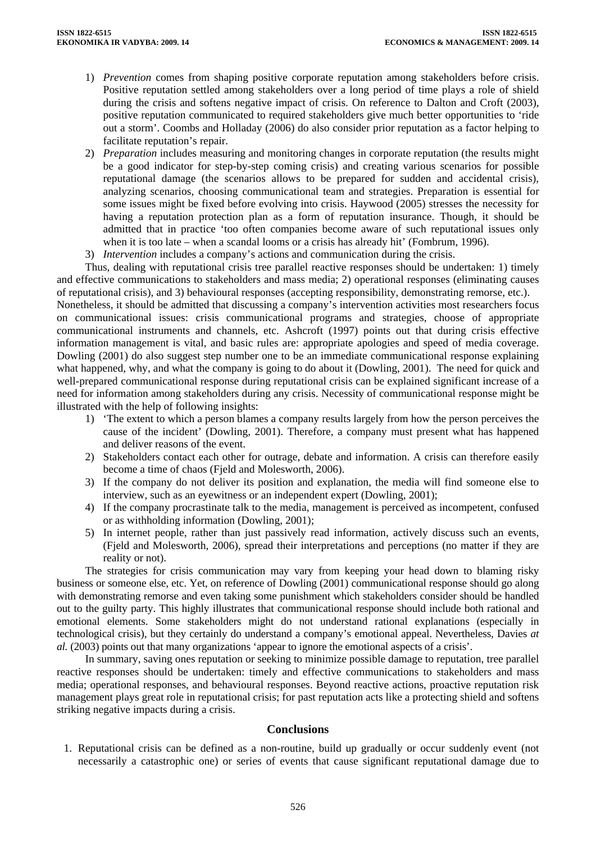- 1) *Prevention* comes from shaping positive corporate reputation among stakeholders before crisis. Positive reputation settled among stakeholders over a long period of time plays a role of shield during the crisis and softens negative impact of crisis. On reference to Dalton and Croft (2003), positive reputation communicated to required stakeholders give much better opportunities to 'ride out a storm'. Coombs and Holladay (2006) do also consider prior reputation as a factor helping to facilitate reputation's repair.
- 2) *Preparation* includes measuring and monitoring changes in corporate reputation (the results might be a good indicator for step-by-step coming crisis) and creating various scenarios for possible reputational damage (the scenarios allows to be prepared for sudden and accidental crisis), analyzing scenarios, choosing communicational team and strategies. Preparation is essential for some issues might be fixed before evolving into crisis. Haywood (2005) stresses the necessity for having a reputation protection plan as a form of reputation insurance. Though, it should be admitted that in practice 'too often companies become aware of such reputational issues only when it is too late – when a scandal looms or a crisis has already hit' (Fombrum, 1996).
- 3) *Intervention* includes a company's actions and communication during the crisis.

Thus, dealing with reputational crisis tree parallel reactive responses should be undertaken: 1) timely and effective communications to stakeholders and mass media; 2) operational responses (eliminating causes of reputational crisis), and 3) behavioural responses (accepting responsibility, demonstrating remorse, etc.).

Nonetheless, it should be admitted that discussing a company's intervention activities most researchers focus on communicational issues: crisis communicational programs and strategies, choose of appropriate communicational instruments and channels, etc. Ashcroft (1997) points out that during crisis effective information management is vital, and basic rules are: appropriate apologies and speed of media coverage. Dowling (2001) do also suggest step number one to be an immediate communicational response explaining what happened, why, and what the company is going to do about it (Dowling, 2001). The need for quick and well-prepared communicational response during reputational crisis can be explained significant increase of a need for information among stakeholders during any crisis. Necessity of communicational response might be illustrated with the help of following insights:

- 1) 'The extent to which a person blames a company results largely from how the person perceives the cause of the incident' (Dowling, 2001). Therefore, a company must present what has happened and deliver reasons of the event.
- 2) Stakeholders contact each other for outrage, debate and information. A crisis can therefore easily become a time of chaos (Fjeld and Molesworth, 2006).
- 3) If the company do not deliver its position and explanation, the media will find someone else to interview, such as an eyewitness or an independent expert (Dowling, 2001);
- 4) If the company procrastinate talk to the media, management is perceived as incompetent, confused or as withholding information (Dowling, 2001);
- 5) In internet people, rather than just passively read information, actively discuss such an events, (Fjeld and Molesworth, 2006), spread their interpretations and perceptions (no matter if they are reality or not).

The strategies for crisis communication may vary from keeping your head down to blaming risky business or someone else, etc. Yet, on reference of Dowling (2001) communicational response should go along with demonstrating remorse and even taking some punishment which stakeholders consider should be handled out to the guilty party. This highly illustrates that communicational response should include both rational and emotional elements. Some stakeholders might do not understand rational explanations (especially in technological crisis), but they certainly do understand a company's emotional appeal. Nevertheless, Davies *at al.* (2003) points out that many organizations 'appear to ignore the emotional aspects of a crisis'.

In summary, saving ones reputation or seeking to minimize possible damage to reputation, tree parallel reactive responses should be undertaken: timely and effective communications to stakeholders and mass media; operational responses, and behavioural responses. Beyond reactive actions, proactive reputation risk management plays great role in reputational crisis; for past reputation acts like a protecting shield and softens striking negative impacts during a crisis.

### **Conclusions**

1. Reputational crisis can be defined as a non-routine, build up gradually or occur suddenly event (not necessarily a catastrophic one) or series of events that cause significant reputational damage due to